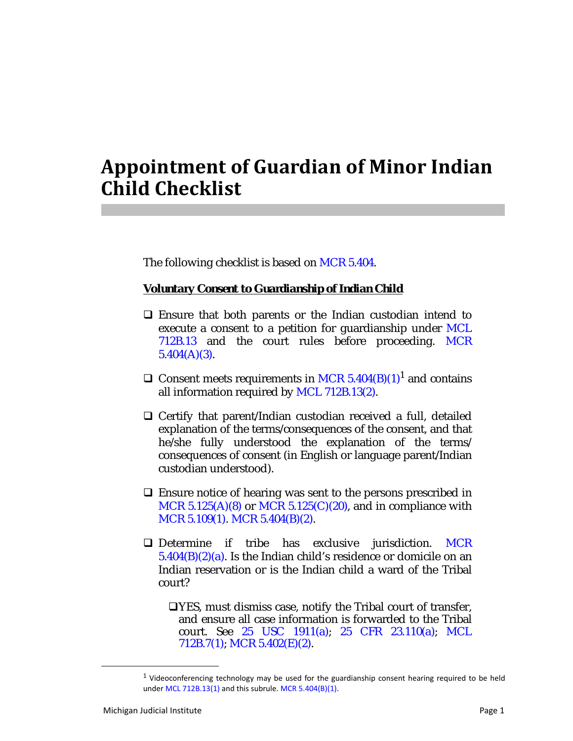## **Appointment of Guardian of Minor Indian Child Checklist**

The following checklist is based on MCR 5.404.

*Voluntary Consent to Guardianship of Indian Child*

- $\Box$  Ensure that both parents or the Indian custodian intend to execute a consent to a petition for guardianship under MCL 712B.13 and the court rules before proceeding. MCR  $5.404(A)(3)$ .
- $\Box$  Consent meets requirements in MCR 5.404(B)(1)<sup>1</sup> and contains all information required by MCL 712B.13(2).
- $\Box$  Certify that parent/Indian custodian received a full, detailed explanation of the terms/consequences of the consent, and that he/she fully understood the explanation of the terms/ consequences of consent (in English or language parent/Indian custodian understood).
- $\Box$  Ensure notice of hearing was sent to the persons prescribed in MCR  $5.125(A)(8)$  or MCR  $5.125(C)(20)$ , and in compliance with MCR 5.109(1). MCR 5.404(B)(2).
- Determine if tribe has exclusive jurisdiction. MCR  $5.404(B)(2)(a)$ . Is the Indian child's residence or domicile on an Indian reservation or is the Indian child a ward of the Tribal court?

YES, must dismiss case, notify the Tribal court of transfer, and ensure all case information is forwarded to the Tribal court. See 25 USC 1911(a); 25 CFR 23.110(a); MCL 712B.7(1); MCR 5.402(E)(2).

 $<sup>1</sup>$  Videoconferencing technology may be used for the guardianship consent hearing required to be held</sup> under MCL 712B.13(1) and this subrule. MCR 5.404(B)(1).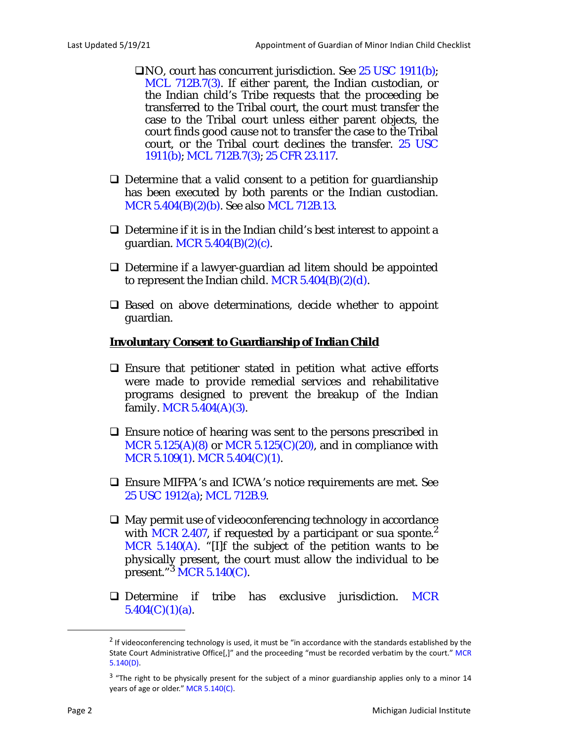- NO, court has concurrent jurisdiction. See 25 USC 1911(b); MCL 712B.7(3). If either parent, the Indian custodian, or the Indian child's Tribe requests that the proceeding be transferred to the Tribal court, the court must transfer the case to the Tribal court unless either parent objects, the court finds good cause not to transfer the case to the Tribal court, or the Tribal court declines the transfer. 25 USC 1911(b); MCL 712B.7(3); 25 CFR 23.117.
- $\Box$  Determine that a valid consent to a petition for guardianship has been executed by both parents or the Indian custodian. MCR 5.404(B)(2)(b). See also MCL 712B.13.
- $\Box$  Determine if it is in the Indian child's best interest to appoint a guardian. MCR 5.404(B)(2)(c).
- Determine if a lawyer-guardian ad litem should be appointed to represent the Indian child. MCR  $5.404(B)(2)(d)$ .
- $\square$  Based on above determinations, decide whether to appoint guardian.

## *Involuntary Consent to Guardianship of Indian Child*

- $\square$  Ensure that petitioner stated in petition what active efforts were made to provide remedial services and rehabilitative programs designed to prevent the breakup of the Indian family. MCR  $5.404(A)(3)$ .
- $\Box$  Ensure notice of hearing was sent to the persons prescribed in MCR  $5.125(A)(8)$  or MCR  $5.125(C)(20)$ , and in compliance with MCR 5.109(1). MCR 5.404(C)(1).
- Ensure MIFPA's and ICWA's notice requirements are met. See 25 USC 1912(a); MCL 712B.9.
- $\Box$  May permit use of videoconferencing technology in accordance with MCR 2.407, if requested by a participant or sua sponte. $^2$ MCR 5.140(A). "[I]f the subject of the petition wants to be physically present, the court must allow the individual to be  $\overline{\text{present.}}^{3} \overline{\text{MCR 5.140(C)}}$ .
- $\Box$  Determine if tribe has exclusive jurisdiction. MCR  $5.404(C)(1)(a)$ .

<sup>&</sup>lt;sup>2</sup> If videoconferencing technology is used, it must be "in accordance with the standards established by the State Court Administrative Office[,]" and the proceeding "must be recorded verbatim by the court." MCR 5.140(D).

<sup>&</sup>lt;sup>3</sup> "The right to be physically present for the subject of a minor guardianship applies only to a minor 14 years of age or older." MCR 5.140(C).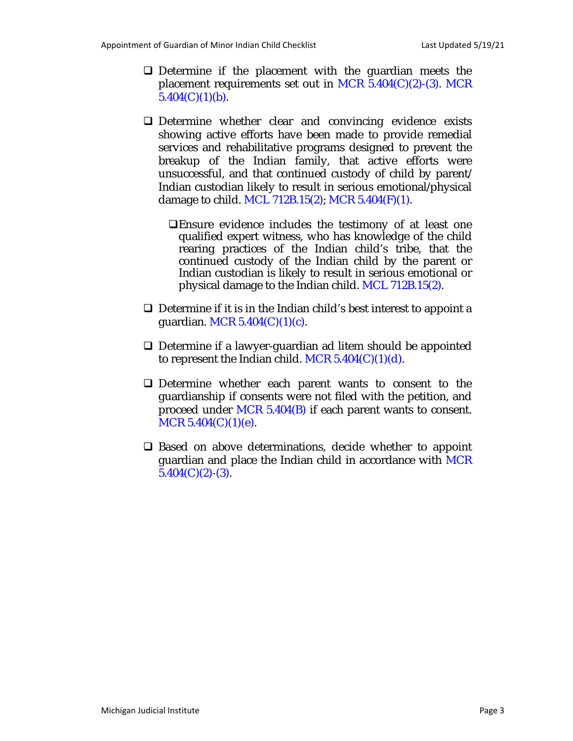- $\Box$  Determine if the placement with the guardian meets the placement requirements set out in MCR  $5.404(C)(2)$ -(3). MCR  $5.404(C)(1)(b)$ .
- Determine whether clear and convincing evidence exists showing active efforts have been made to provide remedial services and rehabilitative programs designed to prevent the breakup of the Indian family, that active efforts were unsuccessful, and that continued custody of child by parent/ Indian custodian likely to result in serious emotional/physical damage to child. MCL 712B.15(2); MCR 5.404(F)(1).
	- Ensure evidence includes the testimony of at least one qualified expert witness, who has knowledge of the child rearing practices of the Indian child's tribe, that the continued custody of the Indian child by the parent or Indian custodian is likely to result in serious emotional or physical damage to the Indian child. MCL 712B.15(2).
- $\Box$  Determine if it is in the Indian child's best interest to appoint a guardian. MCR  $5.404(C)(1)(c)$ .
- □ Determine if a lawyer-guardian ad litem should be appointed to represent the Indian child. MCR  $5.404(C)(1)(d)$ .
- Determine whether each parent wants to consent to the guardianship if consents were not filed with the petition, and proceed under MCR 5.404(B) if each parent wants to consent.  $MCR$  5.404(C)(1)(e).
- $\Box$  Based on above determinations, decide whether to appoint guardian and place the Indian child in accordance with MCR  $5.404(C)(2)-(3)$ .